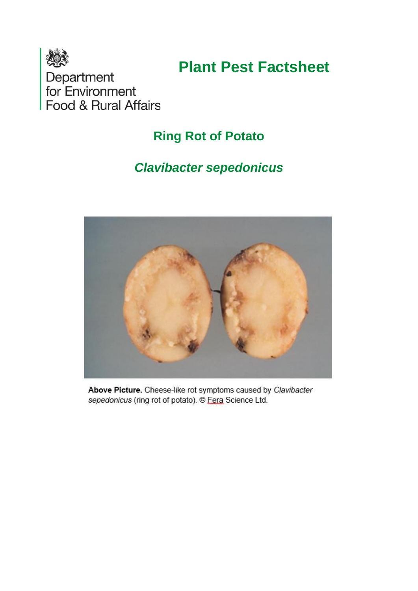

# **Plant Pest Factsheet**

Department<br>for Environment<br>Food & Rural Affairs

# **Ring Rot of Potato**

# *Clavibacter sepedonicus*



Above Picture. Cheese-like rot symptoms caused by Clavibacter sepedonicus (ring rot of potato). © Fera Science Ltd.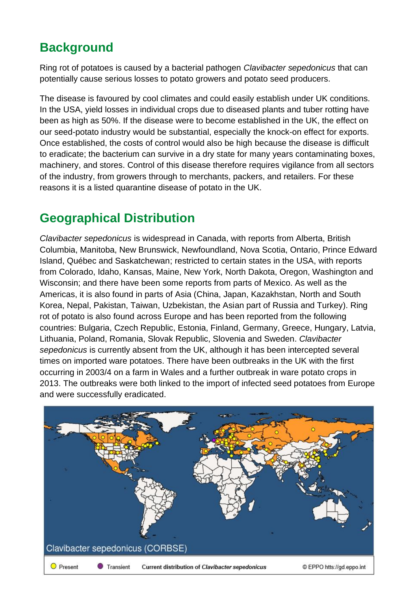# **Background**

Ring rot of potatoes is caused by a bacterial pathogen *Clavibacter sepedonicus* that can potentially cause serious losses to potato growers and potato seed producers.

The disease is favoured by cool climates and could easily establish under UK conditions. In the USA, yield losses in individual crops due to diseased plants and tuber rotting have been as high as 50%. If the disease were to become established in the UK, the effect on our seed-potato industry would be substantial, especially the knock-on effect for exports. Once established, the costs of control would also be high because the disease is difficult to eradicate; the bacterium can survive in a dry state for many years contaminating boxes, machinery, and stores. Control of this disease therefore requires vigilance from all sectors of the industry, from growers through to merchants, packers, and retailers. For these reasons it is a listed quarantine disease of potato in the UK.

# **Geographical Distribution**

*Clavibacter sepedonicus* is widespread in Canada, with reports from Alberta, British Columbia, Manitoba, New Brunswick, Newfoundland, Nova Scotia, Ontario, Prince Edward Island, Québec and Saskatchewan; restricted to certain states in the USA, with reports from Colorado, Idaho, Kansas, Maine, New York, North Dakota, Oregon, Washington and Wisconsin; and there have been some reports from parts of Mexico. As well as the Americas, it is also found in parts of Asia (China, Japan, Kazakhstan, North and South Korea, Nepal, Pakistan, Taiwan, Uzbekistan, the Asian part of Russia and Turkey). Ring rot of potato is also found across Europe and has been reported from the following countries: Bulgaria, Czech Republic, Estonia, Finland, Germany, Greece, Hungary, Latvia, Lithuania, Poland, Romania, Slovak Republic, Slovenia and Sweden. *Clavibacter sepedonicus* is currently absent from the UK, although it has been intercepted several times on imported ware potatoes. There have been outbreaks in the UK with the first occurring in 2003/4 on a farm in Wales and a further outbreak in ware potato crops in 2013. The outbreaks were both linked to the import of infected seed potatoes from Europe and were successfully eradicated.

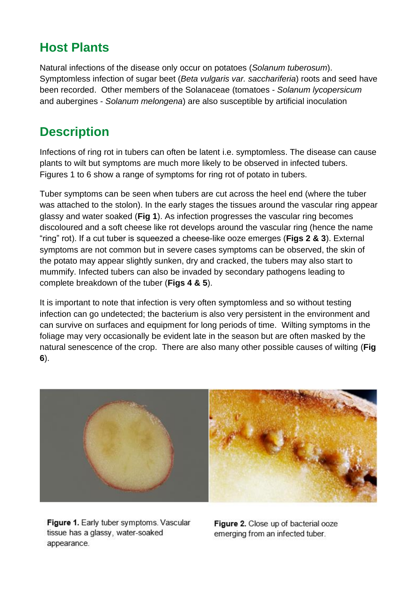# **Host Plants**

Natural infections of the disease only occur on potatoes (*Solanum tuberosum*). Symptomless infection of sugar beet (*Beta vulgaris var. sacchariferia*) roots and seed have been recorded. Other members of the Solanaceae (tomatoes - *Solanum lycopersicum* and aubergines - *Solanum melongena*) are also susceptible by artificial inoculation

# **Description**

Infections of ring rot in tubers can often be latent i.e. symptomless. The disease can cause plants to wilt but symptoms are much more likely to be observed in infected tubers. Figures 1 to 6 show a range of symptoms for ring rot of potato in tubers.

Tuber symptoms can be seen when tubers are cut across the heel end (where the tuber was attached to the stolon). In the early stages the tissues around the vascular ring appear glassy and water soaked (**Fig 1**). As infection progresses the vascular ring becomes discoloured and a soft cheese like rot develops around the vascular ring (hence the name "ring" rot). If a cut tuber is squeezed a cheese-like ooze emerges (**Figs 2 & 3**). External symptoms are not common but in severe cases symptoms can be observed, the skin of the potato may appear slightly sunken, dry and cracked, the tubers may also start to mummify. Infected tubers can also be invaded by secondary pathogens leading to complete breakdown of the tuber (**Figs 4 & 5**).

It is important to note that infection is very often symptomless and so without testing infection can go undetected; the bacterium is also very persistent in the environment and can survive on surfaces and equipment for long periods of time. Wilting symptoms in the foliage may very occasionally be evident late in the season but are often masked by the natural senescence of the crop. There are also many other possible causes of wilting (**Fig 6**).



Figure 1. Early tuber symptoms. Vascular tissue has a glassy, water-soaked appearance.

Figure 2. Close up of bacterial ooze emerging from an infected tuber.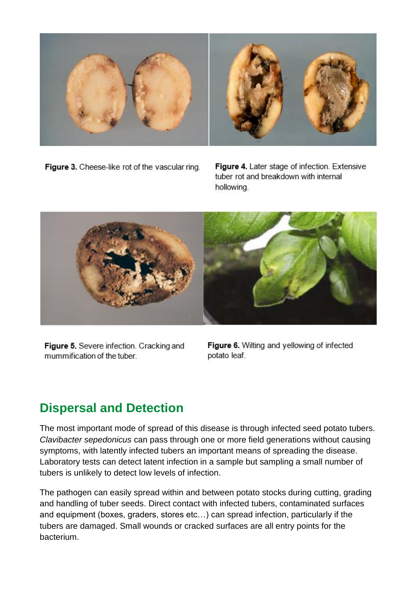

Figure 3. Cheese-like rot of the vascular ring.

Figure 4. Later stage of infection. Extensive tuber rot and breakdown with internal hollowing.

![](_page_3_Picture_3.jpeg)

Figure 5. Severe infection. Cracking and mummification of the tuber.

Figure 6. Wilting and yellowing of infected potato leaf.

### **Dispersal and Detection**

The most important mode of spread of this disease is through infected seed potato tubers. *Clavibacter sepedonicus* can pass through one or more field generations without causing symptoms, with latently infected tubers an important means of spreading the disease. Laboratory tests can detect latent infection in a sample but sampling a small number of tubers is unlikely to detect low levels of infection.

The pathogen can easily spread within and between potato stocks during cutting, grading and handling of tuber seeds. Direct contact with infected tubers, contaminated surfaces and equipment (boxes, graders, stores etc…) can spread infection, particularly if the tubers are damaged. Small wounds or cracked surfaces are all entry points for the bacterium.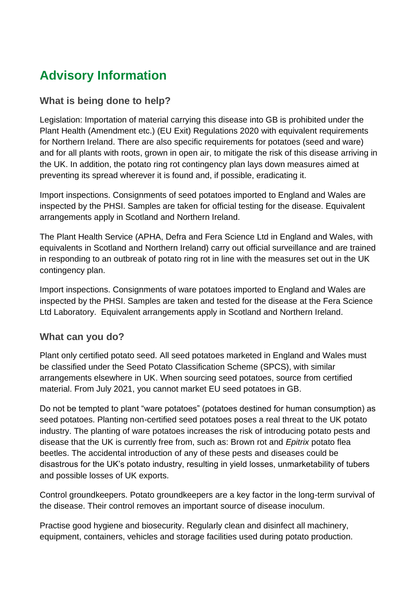# **Advisory Information**

### **What is being done to help?**

Legislation: Importation of material carrying this disease into GB is prohibited under the Plant Health (Amendment etc.) (EU Exit) Regulations 2020 with equivalent requirements for Northern Ireland. There are also specific requirements for potatoes (seed and ware) and for all plants with roots, grown in open air, to mitigate the risk of this disease arriving in the UK. In addition, the potato ring rot contingency plan lays down measures aimed at preventing its spread wherever it is found and, if possible, eradicating it.

Import inspections. Consignments of seed potatoes imported to England and Wales are inspected by the PHSI. Samples are taken for official testing for the disease. Equivalent arrangements apply in Scotland and Northern Ireland.

The Plant Health Service (APHA, Defra and Fera Science Ltd in England and Wales, with equivalents in Scotland and Northern Ireland) carry out official surveillance and are trained in responding to an outbreak of potato ring rot in line with the measures set out in the UK contingency plan.

Import inspections. Consignments of ware potatoes imported to England and Wales are inspected by the PHSI. Samples are taken and tested for the disease at the Fera Science Ltd Laboratory. Equivalent arrangements apply in Scotland and Northern Ireland.

### **What can you do?**

Plant only certified potato seed. All seed potatoes marketed in England and Wales must be classified under the Seed Potato Classification Scheme (SPCS), with similar arrangements elsewhere in UK. When sourcing seed potatoes, source from certified material. From July 2021, you cannot market EU seed potatoes in GB.

Do not be tempted to plant "ware potatoes" (potatoes destined for human consumption) as seed potatoes. Planting non-certified seed potatoes poses a real threat to the UK potato industry. The planting of ware potatoes increases the risk of introducing potato pests and disease that the UK is currently free from, such as: Brown rot and *Epitrix* potato flea beetles. The accidental introduction of any of these pests and diseases could be disastrous for the UK's potato industry, resulting in yield losses, unmarketability of tubers and possible losses of UK exports.

Control groundkeepers. Potato groundkeepers are a key factor in the long-term survival of the disease. Their control removes an important source of disease inoculum.

Practise good hygiene and biosecurity. Regularly clean and disinfect all machinery, equipment, containers, vehicles and storage facilities used during potato production.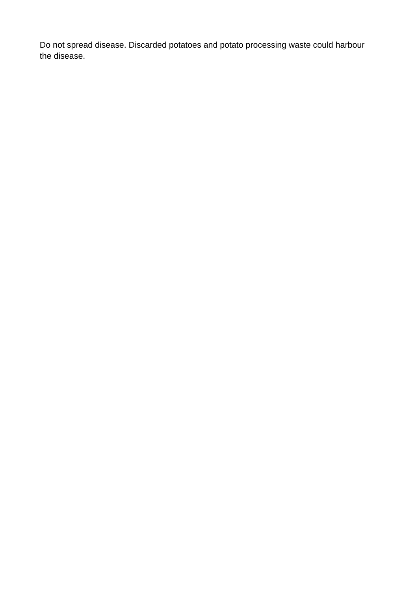Do not spread disease. Discarded potatoes and potato processing waste could harbour the disease.